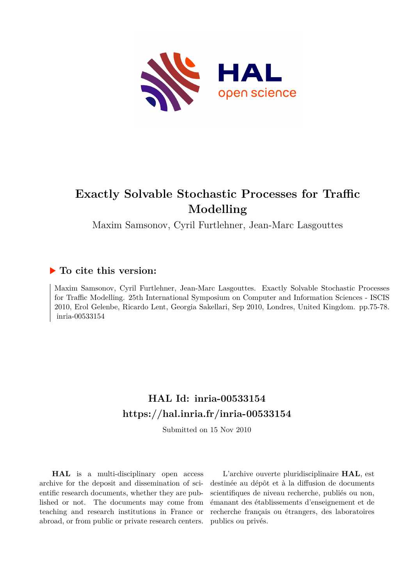

# **Exactly Solvable Stochastic Processes for Traffic Modelling**

Maxim Samsonov, Cyril Furtlehner, Jean-Marc Lasgouttes

## **To cite this version:**

Maxim Samsonov, Cyril Furtlehner, Jean-Marc Lasgouttes. Exactly Solvable Stochastic Processes for Traffic Modelling. 25th International Symposium on Computer and Information Sciences - ISCIS 2010, Erol Gelenbe, Ricardo Lent, Georgia Sakellari, Sep 2010, Londres, United Kingdom. pp.75-78. inria-00533154

# **HAL Id: inria-00533154 <https://hal.inria.fr/inria-00533154>**

Submitted on 15 Nov 2010

**HAL** is a multi-disciplinary open access archive for the deposit and dissemination of scientific research documents, whether they are published or not. The documents may come from teaching and research institutions in France or abroad, or from public or private research centers.

L'archive ouverte pluridisciplinaire **HAL**, est destinée au dépôt et à la diffusion de documents scientifiques de niveau recherche, publiés ou non, émanant des établissements d'enseignement et de recherche français ou étrangers, des laboratoires publics ou privés.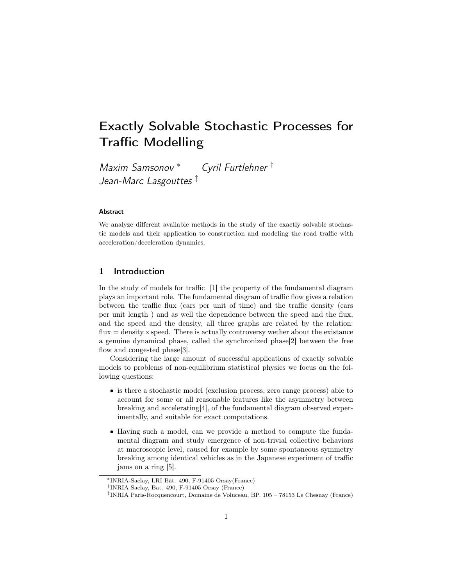# Exactly Solvable Stochastic Processes for Traffic Modelling

Maxim Samsonov <sup>∗</sup> Cyril Furtlehner † Jean-Marc Lasgouttes<sup>‡</sup>

#### Abstract

We analyze different available methods in the study of the exactly solvable stochastic models and their application to construction and modeling the road traffic with acceleration/deceleration dynamics.

### 1 Introduction

In the study of models for traffic [1] the property of the fundamental diagram plays an important role. The fundamental diagram of traffic flow gives a relation between the traffic flux (cars per unit of time) and the traffic density (cars per unit length ) and as well the dependence between the speed and the flux, and the speed and the density, all three graphs are related by the relation:  $flux = density \times speed.$  There is actually controversy wether about the existence a genuine dynamical phase, called the synchronized phase[2] between the free flow and congested phase[3].

Considering the large amount of successful applications of exactly solvable models to problems of non-equilibrium statistical physics we focus on the following questions:

- is there a stochastic model (exclusion process, zero range process) able to account for some or all reasonable features like the asymmetry between breaking and accelerating[4], of the fundamental diagram observed experimentally, and suitable for exact computations.
- Having such a model, can we provide a method to compute the fundamental diagram and study emergence of non-trivial collective behaviors at macroscopic level, caused for example by some spontaneous symmetry breaking among identical vehicles as in the Japanese experiment of traffic jams on a ring [5].

<sup>∗</sup>INRIA-Saclay, LRI Bât. 490, F-91405 Orsay(France)

<sup>†</sup> INRIA Saclay, Bat. 490, F-91405 Orsay (France)

<sup>‡</sup> INRIA Paris-Rocquencourt, Domaine de Voluceau, BP. 105 – 78153 Le Chesnay (France)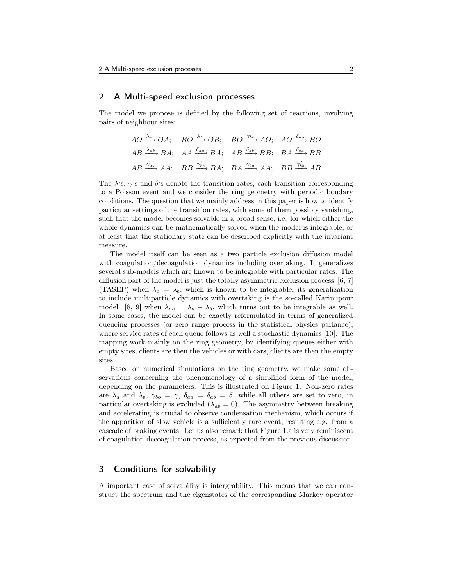#### 2 A Multi-speed exclusion processes

The model we propose is defined by the following set of reactions, involving pairs of neighbour sites:

$$
AO \xrightarrow{\lambda_a} OA;
$$
  $BO \xrightarrow{\lambda_b} OB;$   $BO \xrightarrow{\gamma_{bo}} AO;$   $AO \xrightarrow{\delta_{ao}} BO$   
\n $AB \xrightarrow{\lambda_{ab}} BA;$   $AA \xrightarrow{\delta_{aa}} BA;$   $AB \xrightarrow{\delta_{ab}} BB;$   $BA \xrightarrow{\delta_{ba}} BB$   
\n $AB \xrightarrow{\gamma_{ab}} AA;$   $BB \xrightarrow{\gamma_{bb}^1} BA;$   $BA \xrightarrow{\gamma_{ba}} AA;$   $BB \xrightarrow{\gamma_{bb}^2} AB$ 

The  $\lambda$ 's,  $\gamma$ 's and  $\delta$ 's denote the transition rates, each transition corresponding to a Poisson event and we consider the ring geometry with periodic boudary conditions. The question that we mainly address in this paper is how to identify particular settings of the transition rates, with some of them possibly vanishing, such that the model becomes solvable in a broad sense, i.e. for which either the whole dynamics can be mathematically solved when the model is integrable, or at least that the stationary state can be described explicitly with the invariant measure.

The model itself can be seen as a two particle exclusion diffusion model with coagulation/decoagulation dynamics including overtaking. It generalizes several sub-models which are known to be integrable with particular rates. The diffusion part of the model is just the totally asymmetric exclusion process [6, 7] (TASEP) when  $\lambda_a = \lambda_b$ , which is known to be integrable, its generalization to include multiparticle dynamics with overtaking is the so-called Karimipour model [8, 9] when  $\lambda_{ab} = \lambda_a - \lambda_b$ , which turns out to be integrable as well. In some cases, the model can be exactly reformulated in terms of generalized queueing processes (or zero range process in the statistical physics parlance), where service rates of each queue follows as well a stochastic dynamics [10]. The mapping work mainly on the ring geometry, by identifying queues either with empty sites, clients are then the vehicles or with cars, clients are then the empty sites.

Based on numerical simulations on the ring geometry, we make some observations concerning the phenomenology of a simplified form of the model, depending on the parameters. This is illustrated on Figure 1. Non-zero rates are  $\lambda_a$  and  $\lambda_b$ ,  $\gamma_{bo} = \gamma$ ,  $\delta_{aa} = \delta_{ab} = \delta$ , while all others are set to zero, in particular overtaking is excluded  $(\lambda_{ab} = 0)$ . The asymmetry between breaking and accelerating is crucial to observe condensation mechanism, which occurs if the apparition of slow vehicle is a sufficiently rare event, resulting e.g. from a cascade of braking events. Let us also remark that Figure 1.a is very reminiscent of coagulation-decoagulation process, as expected from the previous discussion.

### 3 Conditions for solvability

A important case of solvability is intergrability. This means that we can construct the spectrum and the eigenstates of the corresponding Markov operator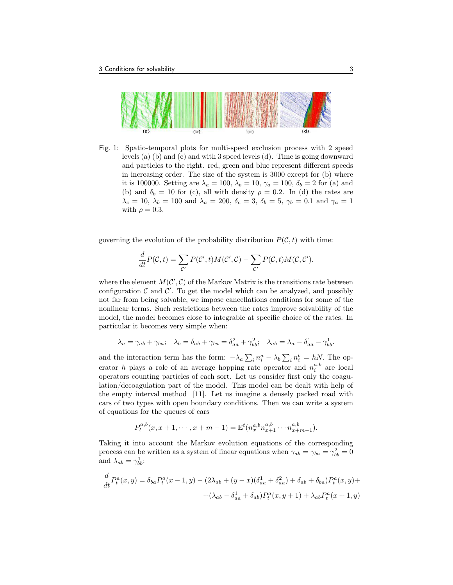

Fig. 1: Spatio-temporal plots for multi-speed exclusion process with 2 speed levels (a) (b) and (c) and with 3 speed levels (d). Time is going downward and particles to the right. red, green and blue represent different speeds in increasing order. The size of the system is 3000 except for (b) where it is 100000. Setting are  $\lambda_a = 100$ ,  $\lambda_b = 10$ ,  $\gamma_a = 100$ ,  $\delta_b = 2$  for (a) and (b) and  $\delta_b = 10$  for (c), all with density  $\rho = 0.2$ . In (d) the rates are  $\lambda_c = 10, \lambda_b = 100 \text{ and } \lambda_a = 200, \delta_c = 3, \delta_b = 5, \gamma_b = 0.1 \text{ and } \gamma_a = 1$ with  $\rho = 0.3$ .

governing the evolution of the probability distribution  $P(\mathcal{C}, t)$  with time:

$$
\frac{d}{dt}P(\mathcal{C},t) = \sum_{\mathcal{C}'} P(\mathcal{C}',t)M(\mathcal{C}',\mathcal{C}) - \sum_{\mathcal{C}'} P(\mathcal{C},t)M(\mathcal{C},\mathcal{C}').
$$

where the element  $M(C', C)$  of the Markov Matrix is the transitions rate between configuration  $\mathcal C$  and  $\mathcal C'$ . To get the model which can be analyzed, and possibly not far from being solvable, we impose cancellations conditions for some of the nonlinear terms. Such restrictions between the rates improve solvability of the model, the model becomes close to integrable at specific choice of the rates. In particular it becomes very simple when:

$$
\lambda_a = \gamma_{ab} + \gamma_{ba}; \quad \lambda_b = \delta_{ab} + \gamma_{ba} = \delta_{aa}^2 + \gamma_{bb}^2; \quad \lambda_{ab} = \lambda_a - \delta_{aa}^1 - \gamma_{bb}^1.
$$

and the interaction term has the form:  $-\lambda_a \sum_i n_i^a - \lambda_b \sum_i n_i^b = hN$ . The operator h plays a role of an average hopping rate operator and  $n_i^{a,b}$  are local operators counting particles of each sort. Let us consider first only the coagulation/decoagulation part of the model. This model can be dealt with help of the empty interval method [11]. Let us imagine a densely packed road with cars of two types with open boundary conditions. Then we can write a system of equations for the queues of cars

$$
P_t^{a,b}(x, x+1, \cdots, x+m-1) = \mathbb{E}^t(n_x^{a,b} n_{x+1}^{a,b} \cdots n_{x+m-1}^{a,b}).
$$

Taking it into account the Markov evolution equations of the corresponding process can be written as a system of linear equations when  $\gamma_{ab} = \gamma_{ba} = \gamma_{bb}^2 = 0$ and  $\lambda_{ab} = \gamma_{bb}^1$ :

$$
\frac{d}{dt}P_t^a(x,y) = \delta_{ba}P_t^a(x-1,y) - (2\lambda_{ab} + (y-x)(\delta_{aa}^1 + \delta_{aa}^2) + \delta_{ab} + \delta_{ba})P_t^a(x,y) + + (\lambda_{ab} - \delta_{aa}^1 + \delta_{ab})P_t^a(x,y+1) + \lambda_{ab}P_t^a(x+1,y)
$$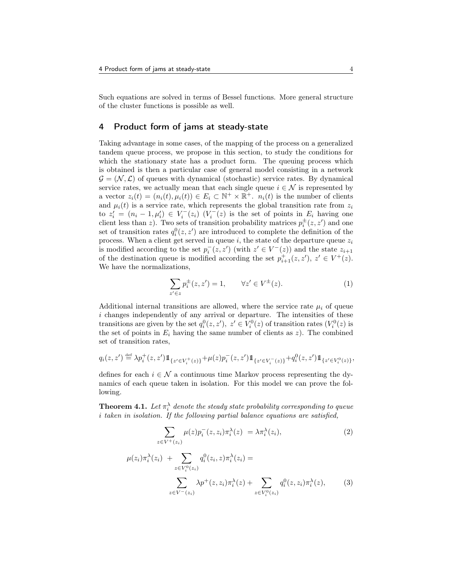Such equations are solved in terms of Bessel functions. More general structure of the cluster functions is possible as well.

### 4 Product form of jams at steady-state

Taking advantage in some cases, of the mapping of the process on a generalized tandem queue process, we propose in this section, to study the conditions for which the stationary state has a product form. The queuing process which is obtained is then a particular case of general model consisting in a network  $\mathcal{G} = (\mathcal{N}, \mathcal{L})$  of queues with dynamical (stochastic) service rates. By dynamical service rates, we actually mean that each single queue  $i \in \mathcal{N}$  is represented by a vector  $z_i(t) = (n_i(t), \mu_i(t)) \in E_i \subset \mathbb{N}^+ \times \mathbb{R}^+$ .  $n_i(t)$  is the number of clients and  $\mu_i(t)$  is a service rate, which represents the global transition rate from  $z_i$ to  $z_i' = (n_i - 1, \mu_i') \in V_i^-(z_i)$   $(V_i^-(z))$  is the set of points in  $E_i$  having one client less than z). Two sets of transition probability matrices  $p_i^{\pm}(z, z')$  and one set of transition rates  $q_i^0(z, z')$  are introduced to complete the definition of the process. When a client get served in queue  $i$ , the state of the departure queue  $z_i$ is modified according to the set  $p_i^-(z, z')$  (with  $z' \in V^-(z)$ ) and the state  $z_{i+1}$ of the destination queue is modified according the set  $p_{i+1}^+(z, z')$ ,  $z' \in V^+(z)$ . We have the normalizations,

$$
\sum_{z' \in z} p_i^{\pm}(z, z') = 1, \qquad \forall z' \in V^{\pm}(z). \tag{1}
$$

Additional internal transitions are allowed, where the service rate  $\mu_i$  of queue  $i$  changes independently of any arrival or departure. The intensities of these transitions are given by the set  $q_i^0(z, z')$ ,  $z' \in V_i^0(z)$  of transition rates  $(V_i^0(z)$  is the set of points in  $E_i$  having the same number of clients as  $z$ ). The combined set of transition rates,

$$
q_i(z, z') \stackrel{\text{def}}{=} \lambda p_i^+(z, z') \mathbb{1}_{\{z' \in V_i^+(z)\}} + \mu(z) p_i^-(z, z') \mathbb{1}_{\{z' \in V_i^-(z)\}} + q_i^0(z, z') \mathbb{1}_{\{z' \in V_i^0(z)\}},
$$

defines for each  $i \in \mathcal{N}$  a continuous time Markov process representing the dynamics of each queue taken in isolation. For this model we can prove the following.

**Theorem 4.1.** Let  $\pi_i^{\lambda}$  denote the steady state probability corresponding to queue i taken in isolation. If the following partial balance equations are satisfied,

$$
\sum_{z \in V^+(z_i)} \mu(z) p_i^-(z, z_i) \pi_i^{\lambda}(z) = \lambda \pi_i^{\lambda}(z_i),
$$
  

$$
\mu(z_i) \pi_i^{\lambda}(z_i) + \sum_{z \in V^+(z_i)} q_i^0(z_i, z) \pi_i^{\lambda}(z_i) =
$$
 (2)

$$
\sum_{z \in V^0(z_i)} z p^+(z, z_i) \pi_i^{\lambda}(z) + \sum_{z \in V_i^0(z_i)} q_i^0(z, z_i) \pi_i^{\lambda}(z), \qquad (3)
$$